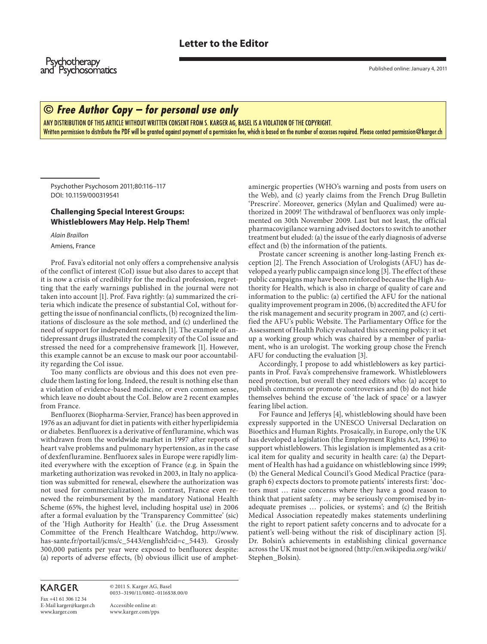**Psychotherapy** and Psychosomatics

## $\odot$  Free Author Copy – for personal use only

ANY DISTRIBUTION OF THIS ARTICLE WITHOUT WRITTEN CONSENT FROM S. KARGER AG, BASEL IS A VIOLATION OF THE COPYRIGHT. Written permission to distribute the PDF will be granted against payment of a permission fee, which is based on the number of accesses required. Please contact permission@karger.ch

 Psychother Psychosom 2011;80:116–117 DOI: 10.1159/000319541

## **Challenging Special Interest Groups: Whistleblowers May Help. Help Them!**

Alain Braillon

Amiens, France

 Prof. Fava's editorial not only offers a comprehensive analysis of the conflict of interest (CoI) issue but also dares to accept that it is now a crisis of credibility for the medical profession, regretting that the early warnings published in the journal were not taken into account [1]. Prof. Fava rightly: (a) summarized the criteria which indicate the presence of substantial CoI, without forgetting the issue of nonfinancial conflicts, (b) recognized the limitations of disclosure as the sole method, and (c) underlined the need of support for independent research [1]. The example of antidepressant drugs illustrated the complexity of the CoI issue and stressed the need for a comprehensive framework [1]. However, this example cannot be an excuse to mask our poor accountability regarding the CoI issue.

 Too many conflicts are obvious and this does not even preclude them lasting for long. Indeed, the result is nothing else than a violation of evidence-based medicine, or even common sense, which leave no doubt about the CoI. Below are 2 recent examples from France.

 Benfluorex (Biopharma-Servier, France) has been approved in 1976 as an adjuvant for diet in patients with either hyperlipidemia or diabetes. Benfluorex is a derivative of fenfluramine, which was withdrawn from the worldwide market in 1997 after reports of heart valve problems and pulmonary hypertension, as in the case of dexfenfluramine. Benfluorex sales in Europe were rapidly limited everywhere with the exception of France (e.g. in Spain the marketing authorization was revoked in 2003, in Italy no application was submitted for renewal, elsewhere the authorization was not used for commercialization). In contrast, France even renewed the reimbursement by the mandatory National Health Scheme (65%, the highest level, including hospital use) in 2006 after a formal evaluation by the 'Transparency Committee' (sic) of the 'High Authority for Health' (i.e. the Drug Assessment Committee of the French Healthcare Watchdog, http://www. has-sante.fr/portail/jcms/c\_5443/english?cid=c\_5443). Grossly 300,000 patients per year were exposed to benfluorex despite: (a) reports of adverse effects, (b) obvious illicit use of amphetaminergic properties (WHO's warning and posts from users on the Web), and (c) yearly claims from the French Drug Bulletin 'Prescrire'. Moreover, generics (Mylan and Qualimed) were authorized in 2009! The withdrawal of benfluorex was only implemented on 30th November 2009. Last but not least, the official pharmacovigilance warning advised doctors to switch to another treatment but eluded: (a) the issue of the early diagnosis of adverse effect and (b) the information of the patients.

 Prostate cancer screening is another long-lasting French exception [2]. The French Association of Urologists (AFU) has developed a yearly public campaign since long [3] . The effect of these public campaigns may have been reinforced because the High Authority for Health, which is also in charge of quality of care and information to the public: (a) certified the AFU for the national quality improvement program in 2006, (b) accredited the AFU for the risk management and security program in 2007, and (c) certified the AFU's public Website. The Parliamentary Office for the Assessment of Health Policy evaluated this screening policy: it set up a working group which was chaired by a member of parliament, who is an urologist. The working group chose the French AFU for conducting the evaluation [3] .

 Accordingly, I propose to add whistleblowers as key participants in Prof. Fava's comprehensive framework. Whistleblowers need protection, but overall they need editors who: (a) accept to publish comments or promote controversies and (b) do not hide themselves behind the excuse of 'the lack of space' or a lawyer fearing libel action.

For Faunce and Jefferys [4], whistleblowing should have been expressly supported in the UNESCO Universal Declaration on Bioethics and Human Rights. Prosaically, in Europe, only the UK has developed a legislation (the Employment Rights Act, 1996) to support whistleblowers. This legislation is implemented as a critical item for quality and security in health care: (a) the Department of Health has had a guidance on whistleblowing since 1999; (b) the General Medical Council's Good Medical Practice (paragraph 6) expects doctors to promote patients' interests first: 'doctors must … raise concerns where they have a good reason to think that patient safety … may be seriously compromised by inadequate premises … policies, or systems'; and (c) the British Medical Association repeatedly makes statements underlining the right to report patient safety concerns and to advocate for a patient's well-being without the risk of disciplinary action [5]. Dr. Bolsin's achievements in establishing clinical governance across the UK must not be ignored (http://en.wikipedia.org/wiki/ Stephen\_Bolsin).

## **KARGER**

Fax +41 61 306 12 34 E-Mail karger@karger.ch www.karger.com

 © 2011 S. Karger AG, Basel 0033–3190/11/0802–0116\$38.00/0

 Accessible online at: www.karger.com/pps